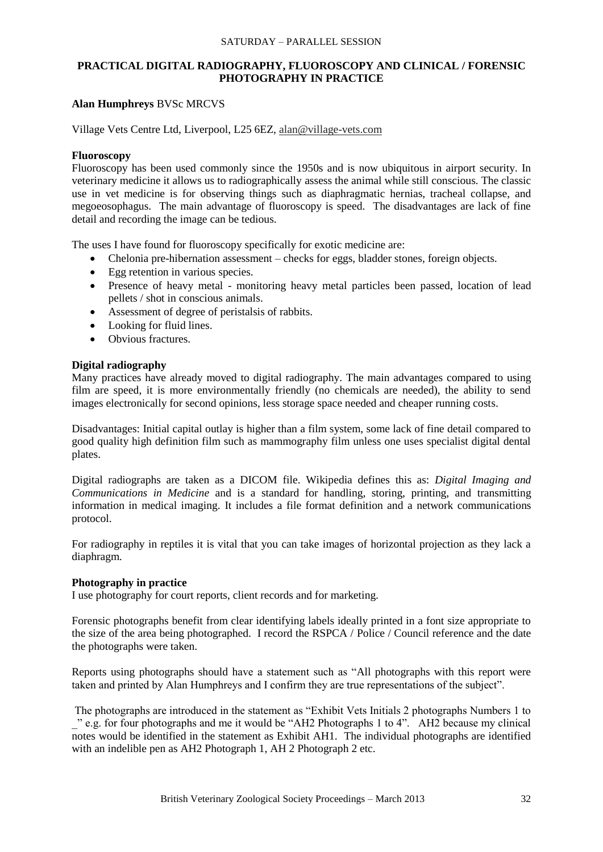#### SATURDAY – PARALLEL SESSION

## **PRACTICAL DIGITAL RADIOGRAPHY, FLUOROSCOPY AND CLINICAL / FORENSIC PHOTOGRAPHY IN PRACTICE**

## **Alan Humphreys** BVSc MRCVS

Village Vets Centre Ltd, Liverpool, L25 6EZ, alan@village-vets.com

#### **Fluoroscopy**

Fluoroscopy has been used commonly since the 1950s and is now ubiquitous in airport security. In veterinary medicine it allows us to radiographically assess the animal while still conscious. The classic use in vet medicine is for observing things such as diaphragmatic hernias, tracheal collapse, and megoeosophagus. The main advantage of fluoroscopy is speed. The disadvantages are lack of fine detail and recording the image can be tedious.

The uses I have found for fluoroscopy specifically for exotic medicine are:

- Chelonia pre-hibernation assessment checks for eggs, bladder stones, foreign objects.
- Egg retention in various species.
- Presence of heavy metal monitoring heavy metal particles been passed, location of lead pellets / shot in conscious animals.
- Assessment of degree of peristalsis of rabbits.
- Looking for fluid lines.
- Obvious fractures.

### **Digital radiography**

Many practices have already moved to digital radiography. The main advantages compared to using film are speed, it is more environmentally friendly (no chemicals are needed), the ability to send images electronically for second opinions, less storage space needed and cheaper running costs.

Disadvantages: Initial capital outlay is higher than a film system, some lack of fine detail compared to good quality high definition film such as mammography film unless one uses specialist digital dental plates.

Digital radiographs are taken as a DICOM file. Wikipedia defines this as: *Digital Imaging and Communications in Medicine* and is a standard for handling, storing, printing, and [transmitting](http://en.wikipedia.org/wiki/Data_transmission) information in [medical imaging.](http://en.wikipedia.org/wiki/Medical_imaging) It includes a [file format](http://en.wikipedia.org/wiki/File_format) definition and a network [communications](http://en.wikipedia.org/wiki/Communications_protocol)  [protocol.](http://en.wikipedia.org/wiki/Communications_protocol)

For radiography in reptiles it is vital that you can take images of horizontal projection as they lack a diaphragm.

### **Photography in practice**

I use photography for court reports, client records and for marketing.

Forensic photographs benefit from clear identifying labels ideally printed in a font size appropriate to the size of the area being photographed. I record the RSPCA / Police / Council reference and the date the photographs were taken.

Reports using photographs should have a statement such as "All photographs with this report were taken and printed by Alan Humphreys and I confirm they are true representations of the subject".

The photographs are introduced in the statement as "Exhibit Vets Initials 2 photographs Numbers 1 to \_" e.g. for four photographs and me it would be "AH2 Photographs 1 to 4". AH2 because my clinical notes would be identified in the statement as Exhibit AH1. The individual photographs are identified with an indelible pen as AH2 Photograph 1, AH 2 Photograph 2 etc.